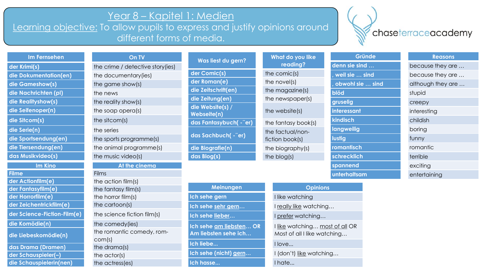## Year 8 – Kapitel 1: Medien

Learning objective: To allow pupils to express and justify opinions around different forms of media.

## chaseterraceacademy

| <b>Im Fernseher</b> |  |
|---------------------|--|
|                     |  |
|                     |  |
|                     |  |

# die Dokumentation(en) the documentary(ies) **die Gameshow(s)** the game show(s) **die Nachrichten (pl)** the news **die Realityshow(s)** the reality show(s) **die Seifenoper(n)** the soap opera(s) **die Sitcom(s)** the sitcom(s) **die Serie(n)** the series die Sportsendung(en) the sports programme(s) **das Musikvideo(s)** the music video(s)

**Filme Films der Actionfilm(e)** the action film(s) **der Fantasyfilm(e)** the fantasy film(s) **der Horrorfilm(e)** the horror film(s) **der Zeichentrickfilm(e)** the cartoon(s) **die Komödie(n)** the comedy(ies)

|  | die Liebeskomödie(n) |  |
|--|----------------------|--|
|  |                      |  |
|  |                      |  |
|  |                      |  |

- **das Drama (Dramen)** the drama(s)
- **der Schauspieler(–)** the actor(s)

der Krimi(s) **the crime / detective story(ies) die Tiersendung(en)** the animal programme(s) **Im Kino At the cinema** 

**On TV** 

**der Science-Fiction-Film(e)** the science fiction film(s) the romantic comedy, romcom(s) die Schauspielerin(nen) the actress(es)

| Was liest du gern?              | What do you like<br>reading?        |
|---------------------------------|-------------------------------------|
| der Comic(s)                    | the comic(s)                        |
| der Roman(e)                    | the novel(s)                        |
| die Zeitschrift(en)             | the magazine(s)                     |
| die Zeitung(en)                 | the newspaper(s)                    |
| die Website(s) /<br>Webseite(n) | the website(s)                      |
| das Fantasybuch(-"er)           | the fantasy book(s)                 |
| das Sachbuch(-"er)              | the factual/non-<br>fiction book(s) |
| die Biografie(n)                | the biography(s)                    |
| das Blog(s)                     | the blog(s)                         |

| Meinungen                                       |                      |
|-------------------------------------------------|----------------------|
| Ich sehe gern                                   | I like wa            |
| Ich sehe sehr gern                              | I really lil         |
| Ich sehe lieber                                 | I prefer             |
| Ich sehe am liebsten OR<br>Am liebsten sehe ich | I like wa<br>Most of |
| Ich liebe                                       | I love               |
| Ich sehe (nicht) gern                           | $I$ (don't)          |
| Ich hasse                                       | I hate               |

| hat do you like |             |
|-----------------|-------------|
| reading?        | Ċ           |
| comic(s)        |             |
| novel(s)        |             |
| magazine(s)     | $\mathbf k$ |
| newspaper(s)    | g           |
| website(s)      | Ì           |
| fantasy book(s) | k           |
| factual/non-    | Ī           |
| on book(s)      | Ī           |
| biography(s)    | r           |
| blog(s)         | S           |
|                 |             |

# **blöd** stupid **gruselig** creepy **interessant** interesting **kindisch** childish **langweilig** boring **lustig** funny **romantisch** romantic **chrecklich** terrible **spannend** exciting **unterhaltsam** entertaining

### **Gründe Reasons**

**denn sie sind …** because they are … **weil sie ... sind because they are ... bowohl sie ... sind** although they are ...

### **Opinions**

**I** watching **Ich sehe sehr gern…** I really like watching… *<u>Breedbaching…</u>* <u>E</u> watching… <u>most of all</u> OR Most of all I like watching…

**In**  $\alpha$  is the watching...